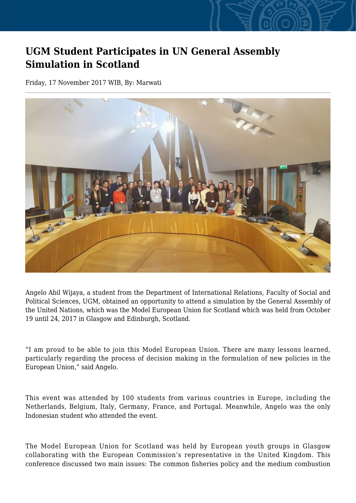## **UGM Student Participates in UN General Assembly Simulation in Scotland**

Friday, 17 November 2017 WIB, By: Marwati



Angelo Abil Wijaya, a student from the Department of International Relations, Faculty of Social and Political Sciences, UGM, obtained an opportunity to attend a simulation by the General Assembly of the United Nations, which was the Model European Union for Scotland which was held from October 19 until 24, 2017 in Glasgow and Edinburgh, Scotland.

"I am proud to be able to join this Model European Union. There are many lessons learned, particularly regarding the process of decision making in the formulation of new policies in the European Union," said Angelo.

This event was attended by 100 students from various countries in Europe, including the Netherlands, Belgium, Italy, Germany, France, and Portugal. Meanwhile, Angelo was the only Indonesian student who attended the event.

The Model European Union for Scotland was held by European youth groups in Glasgow collaborating with the European Commission's representative in the United Kingdom. This conference discussed two main issues: The common fisheries policy and the medium combustion